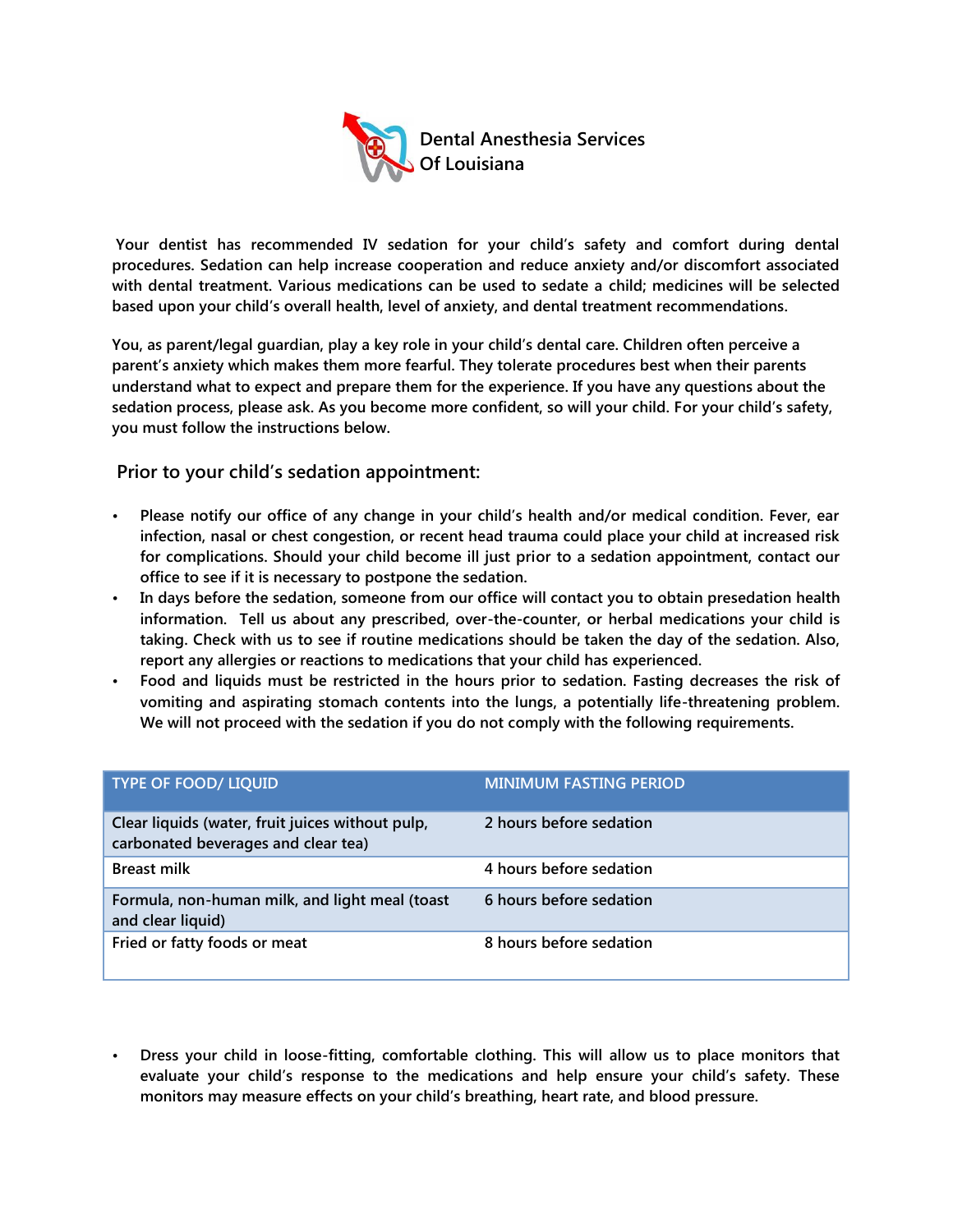

**Your dentist has recommended IV sedation for your child's safety and comfort during dental procedures. Sedation can help increase cooperation and reduce anxiety and/or discomfort associated with dental treatment. Various medications can be used to sedate a child; medicines will be selected based upon your child's overall health, level of anxiety, and dental treatment recommendations.** 

**You, as parent/legal guardian, play a key role in your child's dental care. Children often perceive a parent's anxiety which makes them more fearful. They tolerate procedures best when their parents understand what to expect and prepare them for the experience. If you have any questions about the sedation process, please ask. As you become more confident, so will your child. For your child's safety, you must follow the instructions below.**

## **Prior to your child's sedation appointment:**

- **• Please notify our office of any change in your child's health and/or medical condition. Fever, ear infection, nasal or chest congestion, or recent head trauma could place your child at increased risk for complications. Should your child become ill just prior to a sedation appointment, contact our office to see if it is necessary to postpone the sedation.**
- **• In days before the sedation, someone from our office will contact you to obtain presedation health information. Tell us about any prescribed, over-the-counter, or herbal medications your child is taking. Check with us to see if routine medications should be taken the day of the sedation. Also, report any allergies or reactions to medications that your child has experienced.**
- **• Food and liquids must be restricted in the hours prior to sedation. Fasting decreases the risk of vomiting and aspirating stomach contents into the lungs, a potentially life-threatening problem. We will not proceed with the sedation if you do not comply with the following requirements.**

| <b>TYPE OF FOOD/ LIQUID</b>                                                             | <b>MINIMUM FASTING PERIOD</b> |
|-----------------------------------------------------------------------------------------|-------------------------------|
| Clear liquids (water, fruit juices without pulp,<br>carbonated beverages and clear tea) | 2 hours before sedation       |
| <b>Breast milk</b>                                                                      | 4 hours before sedation       |
| Formula, non-human milk, and light meal (toast<br>and clear liquid)                     | 6 hours before sedation       |
| Fried or fatty foods or meat                                                            | 8 hours before sedation       |

**• Dress your child in loose-fitting, comfortable clothing. This will allow us to place monitors that evaluate your child's response to the medications and help ensure your child's safety. These monitors may measure effects on your child's breathing, heart rate, and blood pressure.**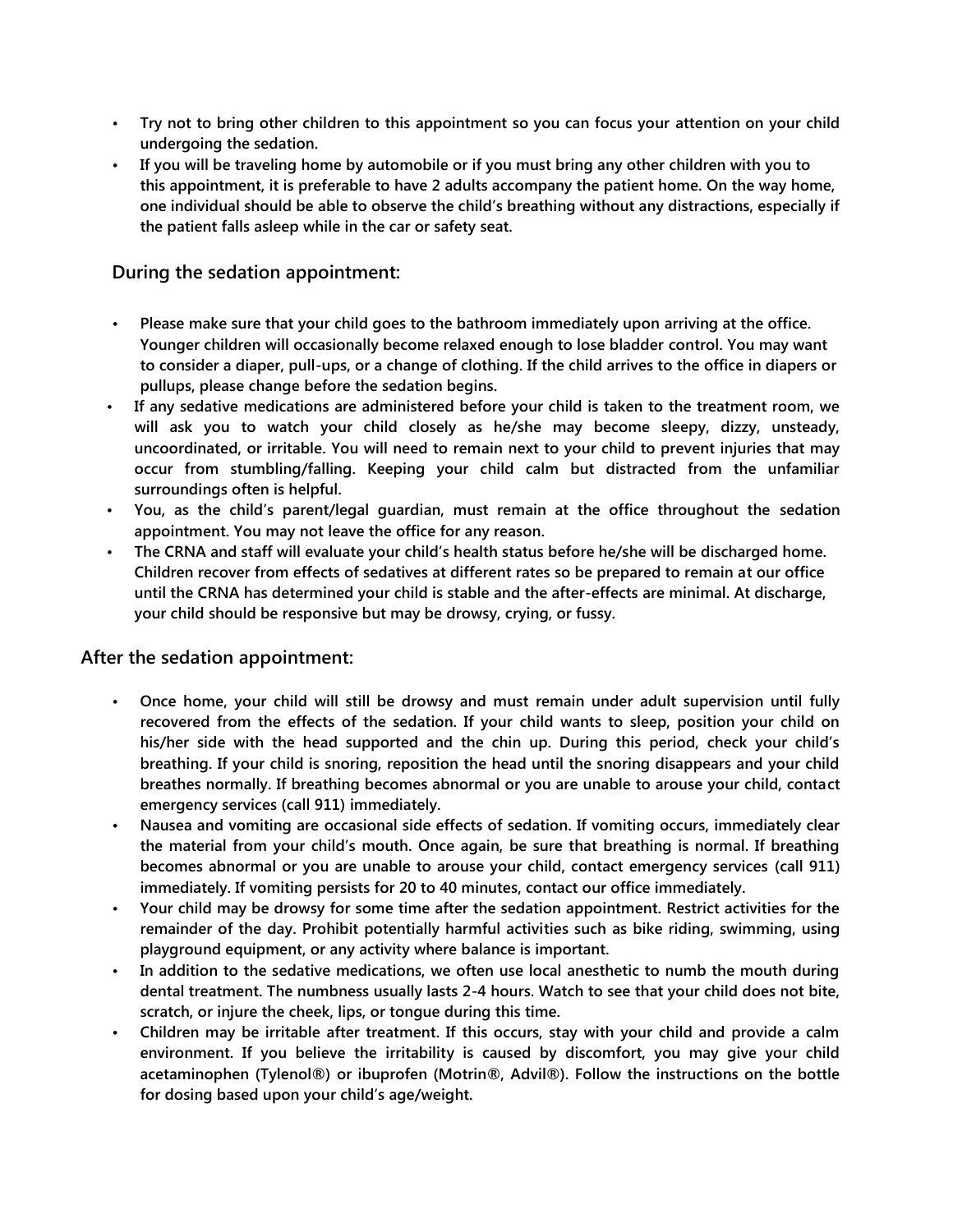- **• Try not to bring other children to this appointment so you can focus your attention on your child undergoing the sedation.**
- **• If you will be traveling home by automobile or if you must bring any other children with you to this appointment, it is preferable to have 2 adults accompany the patient home. On the way home, one individual should be able to observe the child's breathing without any distractions, especially if the patient falls asleep while in the car or safety seat.**

## **During the sedation appointment:**

- **• Please make sure that your child goes to the bathroom immediately upon arriving at the office. Younger children will occasionally become relaxed enough to lose bladder control. You may want to consider a diaper, pull-ups, or a change of clothing. If the child arrives to the office in diapers or pullups, please change before the sedation begins.**
- **• If any sedative medications are administered before your child is taken to the treatment room, we will ask you to watch your child closely as he/she may become sleepy, dizzy, unsteady, uncoordinated, or irritable. You will need to remain next to your child to prevent injuries that may occur from stumbling/falling. Keeping your child calm but distracted from the unfamiliar surroundings often is helpful.**
- **• You, as the child's parent/legal guardian, must remain at the office throughout the sedation appointment. You may not leave the office for any reason.**
- **• The CRNA and staff will evaluate your child's health status before he/she will be discharged home. Children recover from effects of sedatives at different rates so be prepared to remain at our office until the CRNA has determined your child is stable and the after-effects are minimal. At discharge, your child should be responsive but may be drowsy, crying, or fussy.**

## **After the sedation appointment:**

- **• Once home, your child will still be drowsy and must remain under adult supervision until fully recovered from the effects of the sedation. If your child wants to sleep, position your child on his/her side with the head supported and the chin up. During this period, check your child's breathing. If your child is snoring, reposition the head until the snoring disappears and your child breathes normally. If breathing becomes abnormal or you are unable to arouse your child, contact emergency services (call 911) immediately.**
- **• Nausea and vomiting are occasional side effects of sedation. If vomiting occurs, immediately clear the material from your child's mouth. Once again, be sure that breathing is normal. If breathing becomes abnormal or you are unable to arouse your child, contact emergency services (call 911) immediately. If vomiting persists for 20 to 40 minutes, contact our office immediately.**
- **• Your child may be drowsy for some time after the sedation appointment. Restrict activities for the remainder of the day. Prohibit potentially harmful activities such as bike riding, swimming, using playground equipment, or any activity where balance is important.**
- **• In addition to the sedative medications, we often use local anesthetic to numb the mouth during dental treatment. The numbness usually lasts 2-4 hours. Watch to see that your child does not bite, scratch, or injure the cheek, lips, or tongue during this time.**
- **• Children may be irritable after treatment. If this occurs, stay with your child and provide a calm environment. If you believe the irritability is caused by discomfort, you may give your child acetaminophen (Tylenol®) or ibuprofen (Motrin®, Advil®). Follow the instructions on the bottle for dosing based upon your child's age/weight.**